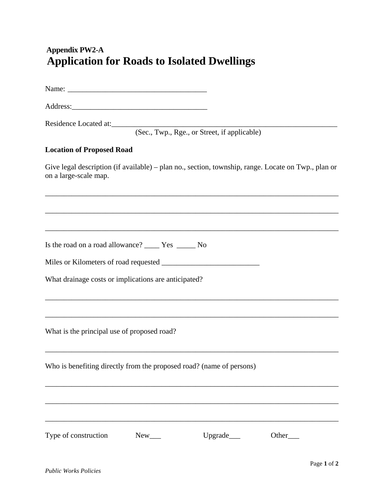## **Appendix PW2-A Application for Roads to Isolated Dwellings**

Name:

Address:\_\_\_\_\_\_\_\_\_\_\_\_\_\_\_\_\_\_\_\_\_\_\_\_\_\_\_\_\_\_\_\_\_\_\_\_

Residence Located at:

(Sec., Twp., Rge., or Street, if applicable)

## **Location of Proposed Road**

Give legal description (if available) – plan no., section, township, range. Locate on Twp., plan or on a large-scale map.

\_\_\_\_\_\_\_\_\_\_\_\_\_\_\_\_\_\_\_\_\_\_\_\_\_\_\_\_\_\_\_\_\_\_\_\_\_\_\_\_\_\_\_\_\_\_\_\_\_\_\_\_\_\_\_\_\_\_\_\_\_\_\_\_\_\_\_\_\_\_\_\_\_\_\_\_\_\_

\_\_\_\_\_\_\_\_\_\_\_\_\_\_\_\_\_\_\_\_\_\_\_\_\_\_\_\_\_\_\_\_\_\_\_\_\_\_\_\_\_\_\_\_\_\_\_\_\_\_\_\_\_\_\_\_\_\_\_\_\_\_\_\_\_\_\_\_\_\_\_\_\_\_\_\_\_\_

\_\_\_\_\_\_\_\_\_\_\_\_\_\_\_\_\_\_\_\_\_\_\_\_\_\_\_\_\_\_\_\_\_\_\_\_\_\_\_\_\_\_\_\_\_\_\_\_\_\_\_\_\_\_\_\_\_\_\_\_\_\_\_\_\_\_\_\_\_\_\_\_\_\_\_\_\_\_

\_\_\_\_\_\_\_\_\_\_\_\_\_\_\_\_\_\_\_\_\_\_\_\_\_\_\_\_\_\_\_\_\_\_\_\_\_\_\_\_\_\_\_\_\_\_\_\_\_\_\_\_\_\_\_\_\_\_\_\_\_\_\_\_\_\_\_\_\_\_\_\_\_\_\_\_\_\_

\_\_\_\_\_\_\_\_\_\_\_\_\_\_\_\_\_\_\_\_\_\_\_\_\_\_\_\_\_\_\_\_\_\_\_\_\_\_\_\_\_\_\_\_\_\_\_\_\_\_\_\_\_\_\_\_\_\_\_\_\_\_\_\_\_\_\_\_\_\_\_\_\_\_\_\_\_\_

\_\_\_\_\_\_\_\_\_\_\_\_\_\_\_\_\_\_\_\_\_\_\_\_\_\_\_\_\_\_\_\_\_\_\_\_\_\_\_\_\_\_\_\_\_\_\_\_\_\_\_\_\_\_\_\_\_\_\_\_\_\_\_\_\_\_\_\_\_\_\_\_\_\_\_\_\_\_

\_\_\_\_\_\_\_\_\_\_\_\_\_\_\_\_\_\_\_\_\_\_\_\_\_\_\_\_\_\_\_\_\_\_\_\_\_\_\_\_\_\_\_\_\_\_\_\_\_\_\_\_\_\_\_\_\_\_\_\_\_\_\_\_\_\_\_\_\_\_\_\_\_\_\_\_\_\_

\_\_\_\_\_\_\_\_\_\_\_\_\_\_\_\_\_\_\_\_\_\_\_\_\_\_\_\_\_\_\_\_\_\_\_\_\_\_\_\_\_\_\_\_\_\_\_\_\_\_\_\_\_\_\_\_\_\_\_\_\_\_\_\_\_\_\_\_\_\_\_\_\_\_\_\_\_\_

Is the road on a road allowance? \_\_\_\_ Yes \_\_\_\_\_ No

Miles or Kilometers of road requested \_\_\_\_\_\_\_\_\_\_\_\_\_\_\_\_\_\_\_\_\_\_\_\_\_\_

What drainage costs or implications are anticipated?

What is the principal use of proposed road?

Who is benefiting directly from the proposed road? (name of persons)

Type of construction New New Upgrade New Upgrade Other